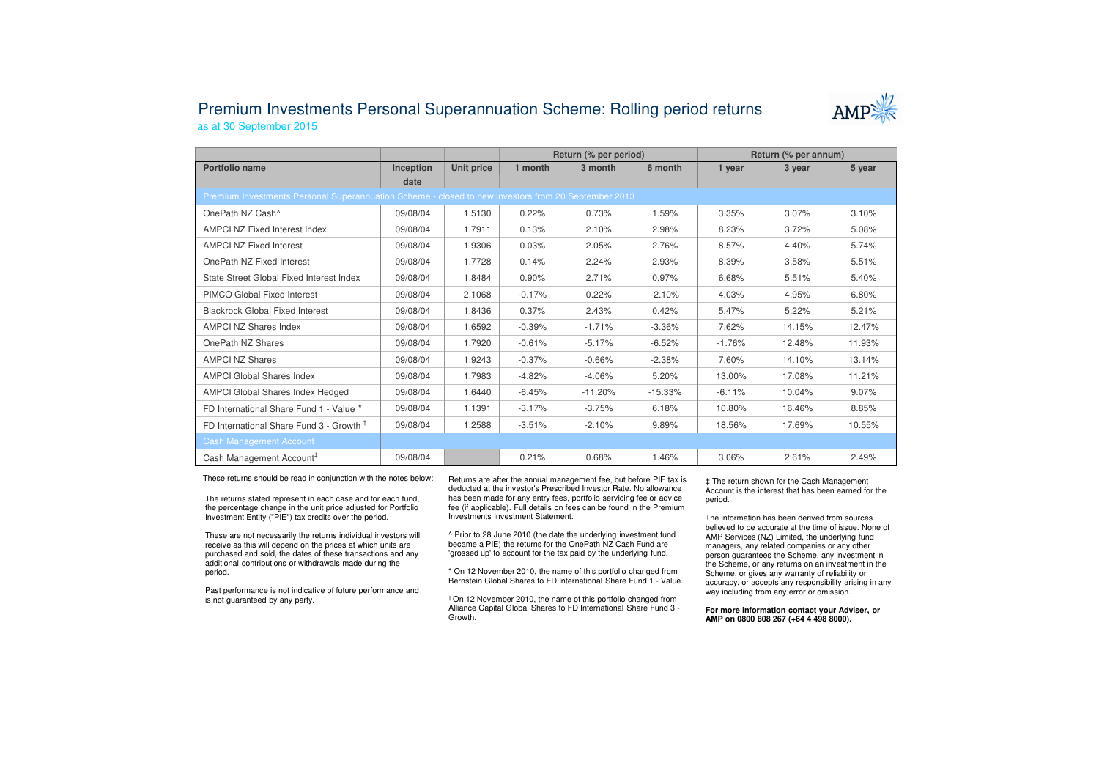## Premium Investments Personal Superannuation Scheme: Rolling period returnsas at 30 September 2015



|                                                                                                     |           |            | Return (% per period) |           |           | Return (% per annum) |        |        |  |  |  |
|-----------------------------------------------------------------------------------------------------|-----------|------------|-----------------------|-----------|-----------|----------------------|--------|--------|--|--|--|
| Portfolio name                                                                                      | Inception | Unit price | 1 month               | 3 month   | 6 month   | 1 year               | 3 year | 5 year |  |  |  |
|                                                                                                     | date      |            |                       |           |           |                      |        |        |  |  |  |
| Premium Investments Personal Superannuation Scheme - closed to new investors from 20 September 2013 |           |            |                       |           |           |                      |        |        |  |  |  |
| OnePath NZ Cash <sup>^</sup>                                                                        | 09/08/04  | 1.5130     | 0.22%                 | 0.73%     | 1.59%     | 3.35%                | 3.07%  | 3.10%  |  |  |  |
| AMPCI NZ Fixed Interest Index                                                                       | 09/08/04  | 1.7911     | 0.13%                 | 2.10%     | 2.98%     | 8.23%                | 3.72%  | 5.08%  |  |  |  |
| <b>AMPCI NZ Fixed Interest</b>                                                                      | 09/08/04  | 1.9306     | 0.03%                 | 2.05%     | 2.76%     | 8.57%                | 4.40%  | 5.74%  |  |  |  |
| OnePath NZ Fixed Interest                                                                           | 09/08/04  | 1.7728     | 0.14%                 | 2.24%     | 2.93%     | 8.39%                | 3.58%  | 5.51%  |  |  |  |
| State Street Global Fixed Interest Index                                                            | 09/08/04  | 1.8484     | 0.90%                 | 2.71%     | 0.97%     | 6.68%                | 5.51%  | 5.40%  |  |  |  |
| PIMCO Global Fixed Interest                                                                         | 09/08/04  | 2.1068     | $-0.17%$              | 0.22%     | $-2.10%$  | 4.03%                | 4.95%  | 6.80%  |  |  |  |
| <b>Blackrock Global Fixed Interest</b>                                                              | 09/08/04  | 1.8436     | 0.37%                 | 2.43%     | 0.42%     | 5.47%                | 5.22%  | 5.21%  |  |  |  |
| AMPCI NZ Shares Index                                                                               | 09/08/04  | 1.6592     | $-0.39%$              | $-1.71%$  | $-3.36%$  | 7.62%                | 14.15% | 12.47% |  |  |  |
| OnePath NZ Shares                                                                                   | 09/08/04  | 1.7920     | $-0.61%$              | $-5.17%$  | $-6.52%$  | $-1.76%$             | 12.48% | 11.93% |  |  |  |
| <b>AMPCI NZ Shares</b>                                                                              | 09/08/04  | 1.9243     | $-0.37%$              | $-0.66%$  | $-2.38%$  | 7.60%                | 14.10% | 13.14% |  |  |  |
| <b>AMPCI Global Shares Index</b>                                                                    | 09/08/04  | 1.7983     | $-4.82%$              | $-4.06%$  | 5.20%     | 13.00%               | 17.08% | 11.21% |  |  |  |
| <b>AMPCI Global Shares Index Hedged</b>                                                             | 09/08/04  | 1.6440     | $-6.45%$              | $-11.20%$ | $-15.33%$ | $-6.11%$             | 10.04% | 9.07%  |  |  |  |
| FD International Share Fund 1 - Value *                                                             | 09/08/04  | 1.1391     | $-3.17%$              | $-3.75%$  | 6.18%     | 10.80%               | 16.46% | 8.85%  |  |  |  |
| FD International Share Fund 3 - Growth <sup>†</sup>                                                 | 09/08/04  | 1.2588     | $-3.51%$              | $-2.10%$  | 9.89%     | 18.56%               | 17.69% | 10.55% |  |  |  |
| <b>Cash Management Account</b>                                                                      |           |            |                       |           |           |                      |        |        |  |  |  |
| Cash Management Account <sup>#</sup>                                                                | 09/08/04  |            | 0.21%                 | 0.68%     | 1.46%     | 3.06%                | 2.61%  | 2.49%  |  |  |  |

These returns should be read in conjunction with the notes below:

The returns stated represent in each case and for each fund, the percentage change in the unit price adjusted for Portfolio Investment Entity ("PIE") tax credits over the period.

These are not necessarily the returns individual investors will receive as this will depend on the prices at which units are purchased and sold, the dates of these transactions and any additional contributions or withdrawals made during the period.

Past performance is not indicative of future performance and is not guaranteed by any party.

Returns are after the annual management fee, but before PIE tax is deducted at the investor's Prescribed Investor Rate. No allowance has been made for any entry fees, portfolio servicing fee or advice fee (if applicable). Full details on fees can be found in the Premium Investments Investment Statement.

^ Prior to 28 June 2010 (the date the underlying investment fund became a PIE) the returns for the OnePath NZ Cash Fund are 'grossed up' to account for the tax paid by the underlying fund.

\* On 12 November 2010, the name of this portfolio changed from Bernstein Global Shares to FD International Share Fund 1 - Value.

† On 12 November 2010, the name of this portfolio changed from Alliance Capital Global Shares to FD International Share Fund 3 -Growth.

‡ The return shown for the Cash Management Account is the interest that has been earned for the period.

The information has been derived from sources believed to be accurate at the time of issue. None of AMP Services (NZ) Limited, the underlying fund managers, any related companies or any other person guarantees the Scheme, any investment in the Scheme, or any returns on an investment in the Scheme, or gives any warranty of reliability or accuracy, or accepts any responsibility arising in any way including from any error or omission.

**For more information contact your Adviser, or AMP on 0800 808 267 (+64 4 498 8000).**